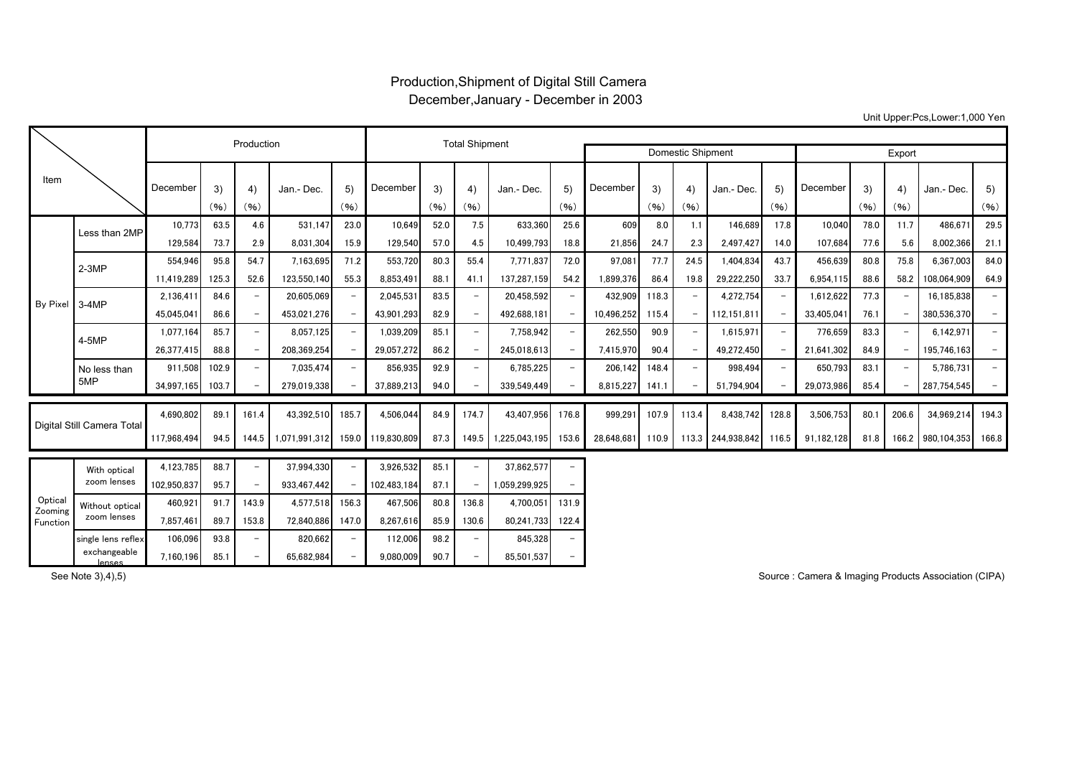## Production,Shipment of Digital Still Camera December,January - December in 2003

Unit Upper:Pcs,Lower:1,000 Yen

|                                |                                | Production  |            |                          |               |                          | <b>Total Shipment</b> |            |                          |               |                          |                          |            |                          |                   |            |            |            |            |                   |                          |
|--------------------------------|--------------------------------|-------------|------------|--------------------------|---------------|--------------------------|-----------------------|------------|--------------------------|---------------|--------------------------|--------------------------|------------|--------------------------|-------------------|------------|------------|------------|------------|-------------------|--------------------------|
|                                |                                |             |            |                          |               |                          |                       |            |                          |               |                          | <b>Domestic Shipment</b> |            |                          |                   |            | Export     |            |            |                   |                          |
| Item                           |                                | December    | 3)<br>(96) | 4)<br>(96)               | Jan.- Dec.    | 5)<br>(96)               | December              | 3)<br>(96) | 4)<br>(96)               | Jan.- Dec.    | 5)<br>(96)               | December                 | 3)<br>(96) | 4)<br>(96)               | Jan.- Dec.        | 5)<br>(96) | December   | 3)<br>(96) | 4)<br>(96) | Jan.- Dec.        | 5)<br>(96)               |
| By Pixel 3-4MP                 | Less than 2MP                  | 10.773      | 63.5       | 4.6                      | 531.147       | 23.0                     | 10,649                | 52.0       | 7.5                      | 633,360       | 25.6                     | 609                      | 8.0        | 1.1                      | 146,689           | 17.8       | 10,040     | 78.0       | 11.7       | 486.671           | 29.5                     |
|                                |                                | 129,584     | 73.7       | 2.9                      | 8,031,304     | 15.9                     | 129,540               | 57.0       | 4.5                      | 10.499.793    | 18.8                     | 21,856                   | 24.7       | 2.3                      | 2.497.427         | 14.0       | 107,684    | 77.6       | 5.6        | 8.002.366         | 21.1                     |
|                                | $2-3MP$                        | 554,946     | 95.8       | 54.7                     | 7,163,695     | 71.2                     | 553,720               | 80.3       | 55.4                     | 7,771,837     | 72.0                     | 97,08                    | 77.7       | 24.5                     | 1,404,834         | 43.7       | 456,639    | 80.8       | 75.8       | 6,367,003         | 84.0                     |
|                                |                                | 11,419,289  | 125.3      | 52.6                     | 123,550,140   | 55.3                     | 8,853,491             | 88.1       | 41.1                     | 137,287,159   | 54.2                     | 1,899,376                | 86.4       | 19.8                     | 29,222,250        | 33.7       | 6.954.115  | 88.6       | 58.2       | 108.064.909       | 64.9                     |
|                                |                                | 2,136,411   | 84.6       | $\overline{\phantom{a}}$ | 20,605,069    |                          | 2,045,531             | 83.5       | $\overline{\phantom{a}}$ | 20,458,592    |                          | 432,909                  | 118.3      | $\overline{\phantom{m}}$ | 4,272,754         |            | 1,612,622  | 77.3       |            | 16,185,838        | $\overline{\phantom{0}}$ |
|                                |                                | 45.045.041  | 86.6       | $\overline{\phantom{a}}$ | 453,021,276   |                          | 43,901,293            | 82.9       | $\overline{\phantom{a}}$ | 492.688.181   | $\overline{\phantom{0}}$ | 10,496,252               | 115.4      |                          | 112.151.811       |            | 33,405,041 | 76.1       |            | 380.536.370       | $\overline{\phantom{0}}$ |
|                                | 4-5MP                          | 1.077.164   | 85.7       | $\overline{\phantom{m}}$ | 8,057,125     |                          | 1,039,209             | 85.1       | $\overline{\phantom{a}}$ | 7,758,942     |                          | 262,550                  | 90.9       |                          | 1.615.971         |            | 776,659    | 83.3       |            | 6.142.971         | $\overline{\phantom{0}}$ |
|                                |                                | 26,377,415  | 88.8       | $\overline{\phantom{a}}$ | 208,369,254   |                          | 29,057,272            | 86.2       | $\overline{\phantom{a}}$ | 245,018,613   |                          | 7,415,970                | 90.4       |                          | 49,272,450        |            | 21,641,302 | 84.9       |            | 195,746,163       |                          |
|                                | No less than                   | 911,508     | 102.9      | $\overline{\phantom{m}}$ | 7,035,474     |                          | 856,935               | 92.9       | $\overline{\phantom{0}}$ | 6,785,225     |                          | 206,142                  | 148.4      |                          | 998,494           |            | 650,793    | 83.1       |            | 5,786,731         |                          |
|                                | 5MP                            | 34,997,165  | 103.7      | $\overline{\phantom{a}}$ | 279,019,338   |                          | 37,889,213            | 94.0       | $\overline{\phantom{m}}$ | 339,549,449   |                          | 8,815,227                | 141.1      |                          | 51.794.904        |            | 29,073,986 | 85.4       |            | 287,754,545       | $-$                      |
| Digital Still Camera Total     |                                | 4.690.802   | 89.1       | 161.4                    | 43,392,510    | 185.7                    | 4,506,044             | 84.9       | 174.7                    | 43.407.956    | 176.8                    | 999,291                  | 107.9      | 113.4                    | 8.438.742         | 128.8      | 3,506,753  | 80.1       | 206.6      | 34.969.214        | 194.3                    |
|                                |                                | 117,968,494 | 94.5       | 144.5                    | 1.071.991.312 | 159.0                    | 119.830.809           | 87.3       | 149.5                    | 1.225.043.195 | 153.6                    | 28.648.681               | 110.9      |                          | 113.3 244,938,842 | 116.5      | 91,182,128 | 81.8       |            | 166.2 980.104.353 | 166.8                    |
| Optical<br>Zooming<br>Function | With optical                   | 4,123,785   | 88.7       | $\overline{\phantom{m}}$ | 37.994.330    |                          | 3.926.532             | 85.1       | $\overline{\phantom{0}}$ | 37,862,577    |                          |                          |            |                          |                   |            |            |            |            |                   |                          |
|                                | zoom lenses                    | 102.950.837 | 95.7       | $\overline{\phantom{m}}$ | 933.467.442   |                          | 102.483.184           | 87.1       | $\overline{\phantom{0}}$ | 1.059.299.925 |                          |                          |            |                          |                   |            |            |            |            |                   |                          |
|                                | Without optical<br>zoom lenses | 460.921     | 91.7       | 143.9                    | 4,577,518     | 156.3                    | 467,506               | 80.8       | 136.8                    | 4.700.051     | 131.9                    |                          |            |                          |                   |            |            |            |            |                   |                          |
|                                |                                | 7.857.461   | 89.7       | 153.8                    | 72.840.886    | 147.0                    | 8.267.616             | 85.9       | 130.6                    | 80.241.733    | 122.4                    |                          |            |                          |                   |            |            |            |            |                   |                          |
|                                | single lens reflex             | 106,096     | 93.8       | $\overline{\phantom{m}}$ | 820,662       | $\overline{\phantom{0}}$ | 112,006               | 98.2       | $\overline{\phantom{0}}$ | 845,328       |                          |                          |            |                          |                   |            |            |            |            |                   |                          |
|                                | exchangeable<br><b>Jonnes</b>  | 7,160,196   | 85.1       | $\overline{\phantom{0}}$ | 65,682,984    |                          | 9.080.009             | 90.7       | $\overline{\phantom{a}}$ | 85,501,537    |                          |                          |            |                          |                   |            |            |            |            |                   |                          |

See Note 3),4),5)

lenses

Source : Camera & Imaging Products Association (CIPA)